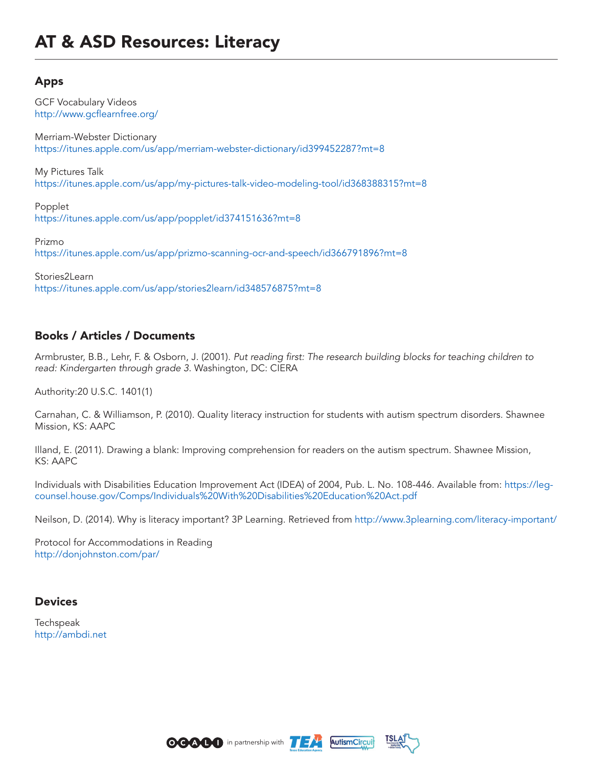## Apps

GCF Vocabulary Videos http://www.gcflearnfree.org/

Merriam-Webster Dictionary https://itunes.apple.com/us/app/merriam-webster-dictionary/id399452287?mt=8

My Pictures Talk https://itunes.apple.com/us/app/my-pictures-talk-video-modeling-tool/id368388315?mt=8

Popplet https://itunes.apple.com/us/app/popplet/id374151636?mt=8

Prizmo https://itunes.apple.com/us/app/prizmo-scanning-ocr-and-speech/id366791896?mt=8

Stories2Learn https://itunes.apple.com/us/app/stories2learn/id348576875?mt=8

## Books / Articles / Documents

Armbruster, B.B., Lehr, F. & Osborn, J. (2001). *Put reading first: The research building blocks for teaching children to read: Kindergarten through grade 3*. Washington, DC: CIERA

Authority:20 U.S.C. 1401(1)

Carnahan, C. & Williamson, P. (2010). Quality literacy instruction for students with autism spectrum disorders. Shawnee Mission, KS: AAPC

Illand, E. (2011). Drawing a blank: Improving comprehension for readers on the autism spectrum. Shawnee Mission, KS: AAPC

Individuals with Disabilities Education Improvement Act (IDEA) of 2004, Pub. L. No. 108-446. Available from: https://legcounsel.house.gov/Comps/Individuals%20With%20Disabilities%20Education%20Act.pdf

Neilson, D. (2014). Why is literacy important? 3P Learning. Retrieved from http://www.3plearning.com/literacy-important/

Protocol for Accommodations in Reading http://donjohnston.com/par/

## **Devices**

Techspeak http://ambdi.net





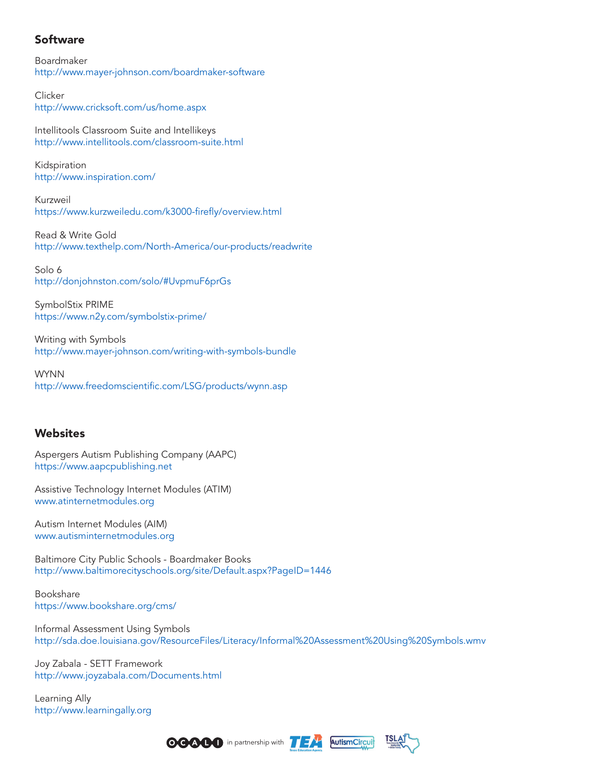## Software

Boardmaker http://www.mayer-johnson.com/boardmaker-software

**Clicker** http://www.cricksoft.com/us/home.aspx

Intellitools Classroom Suite and Intellikeys http://www.intellitools.com/classroom-suite.html

Kidspiration http://www.inspiration.com/

Kurzweil https://www.kurzweiledu.com/k3000-firefly/overview.html

Read & Write Gold http://www.texthelp.com/North-America/our-products/readwrite

Solo 6 http://donjohnston.com/solo/#UvpmuF6prGs

SymbolStix PRIME https://www.n2y.com/symbolstix-prime/

Writing with Symbols http://www.mayer-johnson.com/writing-with-symbols-bundle

WYNN http://www.freedomscientific.com/LSG/products/wynn.asp

## Websites

Aspergers Autism Publishing Company (AAPC) https://www.aapcpublishing.net

Assistive Technology Internet Modules (ATIM) www.atinternetmodules.org

Autism Internet Modules (AIM) www.autisminternetmodules.org

Baltimore City Public Schools - Boardmaker Books http://www.baltimorecityschools.org/site/Default.aspx?PageID=1446

Bookshare https://www.bookshare.org/cms/

Informal Assessment Using Symbols http://sda.doe.louisiana.gov/ResourceFiles/Literacy/Informal%20Assessment%20Using%20Symbols.wmv

Joy Zabala - SETT Framework http://www.joyzabala.com/Documents.html

Learning Ally http://www.learningally.org





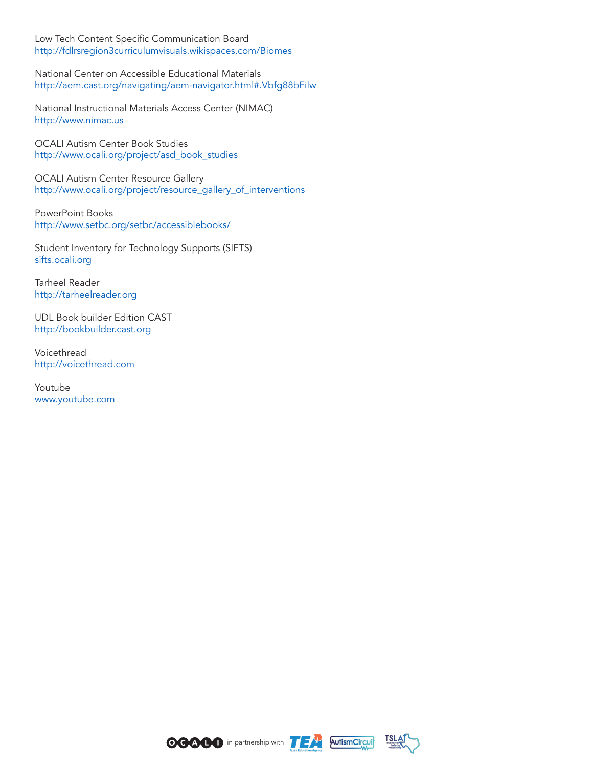Low Tech Content Specific Communication Board http://fdlrsregion3curriculumvisuals.wikispaces.com/Biomes

National Center on Accessible Educational Materials http://aem.cast.org/navigating/aem-navigator.html#.Vbfg88bFilw

National Instructional Materials Access Center (NIMAC) http://www.nimac.us

OCALI Autism Center Book Studies http://www.ocali.org/project/asd\_book\_studies

OCALI Autism Center Resource Gallery http://www.ocali.org/project/resource\_gallery\_of\_interventions

PowerPoint Books http://www.setbc.org/setbc/accessiblebooks/

Student Inventory for Technology Supports (SIFTS) sifts.ocali.org

Tarheel Reader http://tarheelreader.org

UDL Book builder Edition CAST http://bookbuilder.cast.org

Voicethread http://voicethread.com

Youtube www.youtube.com





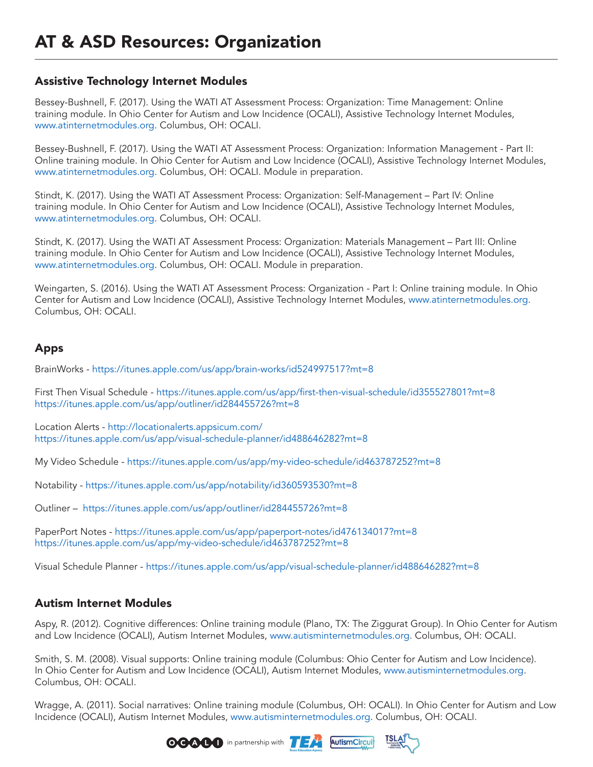# AT & ASD Resources: Organization

#### Assistive Technology Internet Modules

Bessey-Bushnell, F. (2017). Using the WATI AT Assessment Process: Organization: Time Management: Online training module. In Ohio Center for Autism and Low Incidence (OCALI), Assistive Technology Internet Modules, www.atinternetmodules.org. Columbus, OH: OCALI.

Bessey-Bushnell, F. (2017). Using the WATI AT Assessment Process: Organization: Information Management - Part II: Online training module. In Ohio Center for Autism and Low Incidence (OCALI), Assistive Technology Internet Modules, www.atinternetmodules.org. Columbus, OH: OCALI. Module in preparation.

Stindt, K. (2017). Using the WATI AT Assessment Process: Organization: Self-Management – Part IV: Online training module. In Ohio Center for Autism and Low Incidence (OCALI), Assistive Technology Internet Modules, www.atinternetmodules.org. Columbus, OH: OCALI.

Stindt, K. (2017). Using the WATI AT Assessment Process: Organization: Materials Management – Part III: Online training module. In Ohio Center for Autism and Low Incidence (OCALI), Assistive Technology Internet Modules, www.atinternetmodules.org. Columbus, OH: OCALI. Module in preparation.

Weingarten, S. (2016). Using the WATI AT Assessment Process: Organization - Part I: Online training module. In Ohio Center for Autism and Low Incidence (OCALI), Assistive Technology Internet Modules, www.atinternetmodules.org. Columbus, OH: OCALI.

## Apps

BrainWorks - https://itunes.apple.com/us/app/brain-works/id524997517?mt=8

First Then Visual Schedule - https://itunes.apple.com/us/app/first-then-visual-schedule/id355527801?mt=8 https://itunes.apple.com/us/app/outliner/id284455726?mt=8

Location Alerts - http://locationalerts.appsicum.com/ https://itunes.apple.com/us/app/visual-schedule-planner/id488646282?mt=8

My Video Schedule - https://itunes.apple.com/us/app/my-video-schedule/id463787252?mt=8

Notability - https://itunes.apple.com/us/app/notability/id360593530?mt=8

Outliner – https://itunes.apple.com/us/app/outliner/id284455726?mt=8

PaperPort Notes - https://itunes.apple.com/us/app/paperport-notes/id476134017?mt=8 https://itunes.apple.com/us/app/my-video-schedule/id463787252?mt=8

Visual Schedule Planner - https://itunes.apple.com/us/app/visual-schedule-planner/id488646282?mt=8

## Autism Internet Modules

Aspy, R. (2012). Cognitive differences: Online training module (Plano, TX: The Ziggurat Group). In Ohio Center for Autism and Low Incidence (OCALI), Autism Internet Modules, www.autisminternetmodules.org. Columbus, OH: OCALI.

Smith, S. M. (2008). Visual supports: Online training module (Columbus: Ohio Center for Autism and Low Incidence). In Ohio Center for Autism and Low Incidence (OCALI), Autism Internet Modules, www.autisminternetmodules.org. Columbus, OH: OCALI.

Wragge, A. (2011). Social narratives: Online training module (Columbus, OH: OCALI). In Ohio Center for Autism and Low Incidence (OCALI), Autism Internet Modules, www.autisminternetmodules.org. Columbus, OH: OCALI.





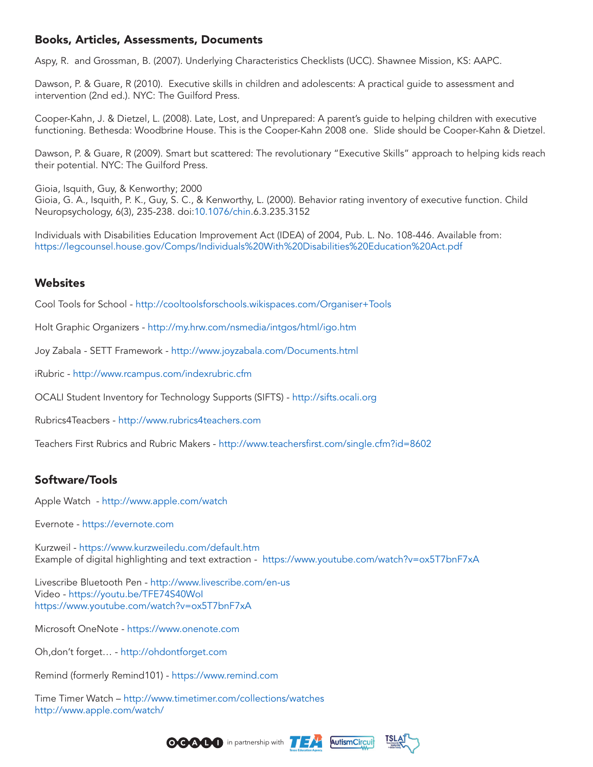## Books, Articles, Assessments, Documents

Aspy, R. and Grossman, B. (2007). Underlying Characteristics Checklists (UCC). Shawnee Mission, KS: AAPC.

Dawson, P. & Guare, R (2010). Executive skills in children and adolescents: A practical guide to assessment and intervention (2nd ed.). NYC: The Guilford Press.

Cooper-Kahn, J. & Dietzel, L. (2008). Late, Lost, and Unprepared: A parent's guide to helping children with executive functioning. Bethesda: Woodbrine House. This is the Cooper-Kahn 2008 one. Slide should be Cooper-Kahn & Dietzel.

Dawson, P. & Guare, R (2009). Smart but scattered: The revolutionary "Executive Skills" approach to helping kids reach their potential. NYC: The Guilford Press.

Gioia, Isquith, Guy, & Kenworthy; 2000

Gioia, G. A., Isquith, P. K., Guy, S. C., & Kenworthy, L. (2000). Behavior rating inventory of executive function. Child Neuropsychology, 6(3), 235-238. doi:10.1076/chin.6.3.235.3152

Individuals with Disabilities Education Improvement Act (IDEA) of 2004, Pub. L. No. 108-446. Available from: https://legcounsel.house.gov/Comps/Individuals%20With%20Disabilities%20Education%20Act.pdf

#### **Websites**

Cool Tools for School - http://cooltoolsforschools.wikispaces.com/Organiser+Tools

Holt Graphic Organizers - http://my.hrw.com/nsmedia/intgos/html/igo.htm

Joy Zabala - SETT Framework - http://www.joyzabala.com/Documents.html

iRubric - http://www.rcampus.com/indexrubric.cfm

OCALI Student Inventory for Technology Supports (SIFTS) - http://sifts.ocali.org

Rubrics4Teacbers - http://www.rubrics4teachers.com

Teachers First Rubrics and Rubric Makers - http://www.teachersfirst.com/single.cfm?id=8602

## Software/Tools

Apple Watch - http://www.apple.com/watch

Evernote - https://evernote.com

Kurzweil - https://www.kurzweiledu.com/default.htm Example of digital highlighting and text extraction - https://www.youtube.com/watch?v=ox5T7bnF7xA

Livescribe Bluetooth Pen - http://www.livescribe.com/en-us Video - https://youtu.be/TFE74S40WoI https://www.youtube.com/watch?v=ox5T7bnF7xA

Microsoft OneNote - https://www.onenote.com

Oh,don't forget… - http://ohdontforget.com

Remind (formerly Remind101) - https://www.remind.com

Time Timer Watch – http://www.timetimer.com/collections/watches http://www.apple.com/watch/





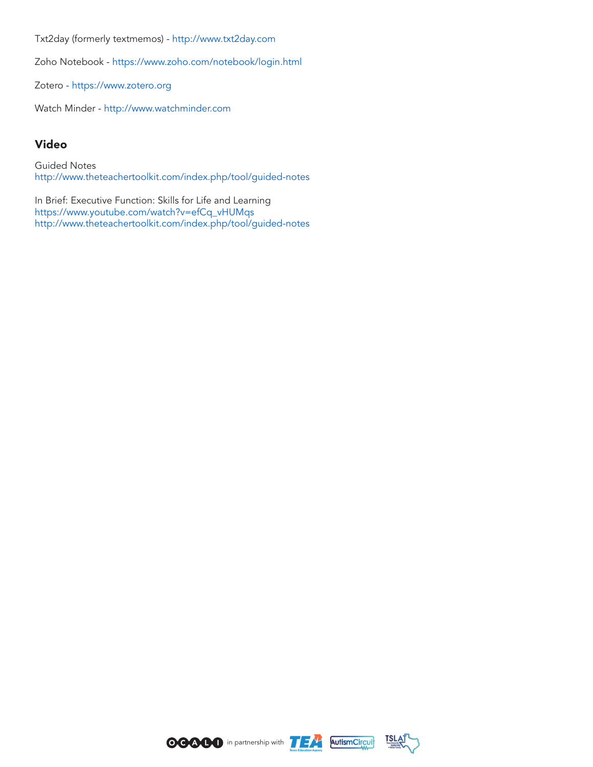Txt2day (formerly textmemos) - http://www.txt2day.com

Zoho Notebook - https://www.zoho.com/notebook/login.html

Zotero - https://www.zotero.org

Watch Minder - http://www.watchminder.com

## Video

Guided Notes http://www.theteachertoolkit.com/index.php/tool/guided-notes

In Brief: Executive Function: Skills for Life and Learning https://www.youtube.com/watch?v=efCq\_vHUMqs http://www.theteachertoolkit.com/index.php/tool/guided-notes





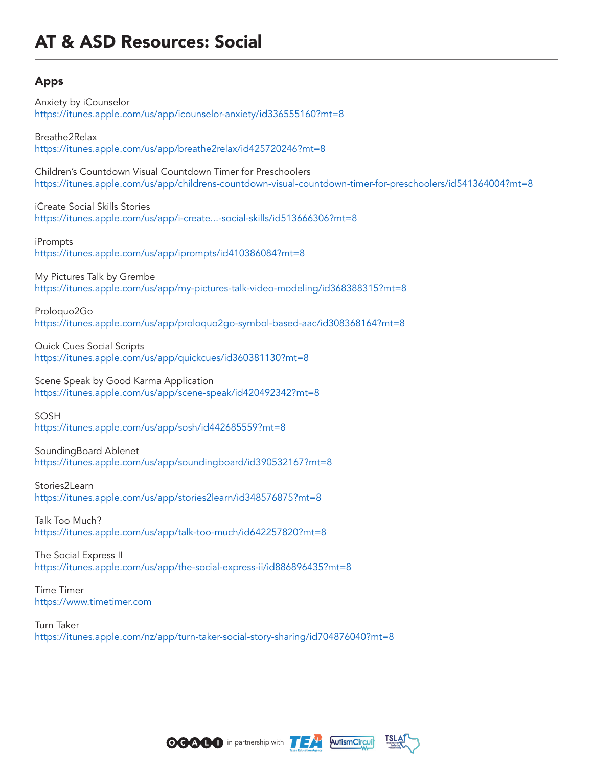# AT & ASD Resources: Social

## Apps

Anxiety by iCounselor https://itunes.apple.com/us/app/icounselor-anxiety/id336555160?mt=8 Breathe2Relax https://itunes.apple.com/us/app/breathe2relax/id425720246?mt=8 Children's Countdown Visual Countdown Timer for Preschoolers https://itunes.apple.com/us/app/childrens-countdown-visual-countdown-timer-for-preschoolers/id541364004?mt=8 iCreate Social Skills Stories https://itunes.apple.com/us/app/i-create...-social-skills/id513666306?mt=8 iPrompts https://itunes.apple.com/us/app/iprompts/id410386084?mt=8 My Pictures Talk by Grembe https://itunes.apple.com/us/app/my-pictures-talk-video-modeling/id368388315?mt=8

Proloquo2Go https://itunes.apple.com/us/app/proloquo2go-symbol-based-aac/id308368164?mt=8

Quick Cues Social Scripts https://itunes.apple.com/us/app/quickcues/id360381130?mt=8

Scene Speak by Good Karma Application https://itunes.apple.com/us/app/scene-speak/id420492342?mt=8

SOSH

https://itunes.apple.com/us/app/sosh/id442685559?mt=8

SoundingBoard Ablenet

https://itunes.apple.com/us/app/soundingboard/id390532167?mt=8

Stories2Learn https://itunes.apple.com/us/app/stories2learn/id348576875?mt=8

Talk Too Much? https://itunes.apple.com/us/app/talk-too-much/id642257820?mt=8

The Social Express II https://itunes.apple.com/us/app/the-social-express-ii/id886896435?mt=8

Time Timer https://www.timetimer.com

Turn Taker https://itunes.apple.com/nz/app/turn-taker-social-story-sharing/id704876040?mt=8





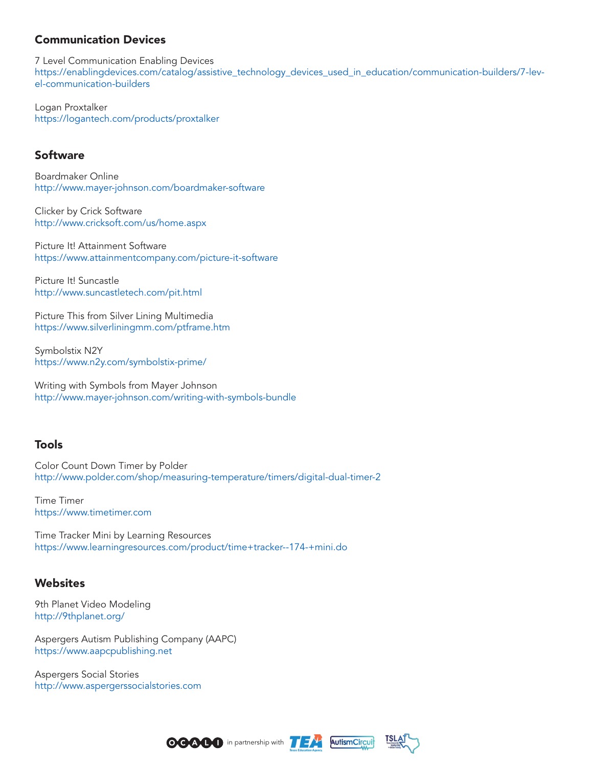## Communication Devices

7 Level Communication Enabling Devices https://enablingdevices.com/catalog/assistive\_technology\_devices\_used\_in\_education/communication-builders/7-level-communication-builders

Logan Proxtalker https://logantech.com/products/proxtalker

## Software

Boardmaker Online http://www.mayer-johnson.com/boardmaker-software

Clicker by Crick Software http://www.cricksoft.com/us/home.aspx

Picture It! Attainment Software https://www.attainmentcompany.com/picture-it-software

Picture It! Suncastle http://www.suncastletech.com/pit.html

Picture This from Silver Lining Multimedia https://www.silverliningmm.com/ptframe.htm

Symbolstix N2Y https://www.n2y.com/symbolstix-prime/

Writing with Symbols from Mayer Johnson http://www.mayer-johnson.com/writing-with-symbols-bundle

#### Tools

Color Count Down Timer by Polder http://www.polder.com/shop/measuring-temperature/timers/digital-dual-timer-2

Time Timer https://www.timetimer.com

Time Tracker Mini by Learning Resources https://www.learningresources.com/product/time+tracker--174-+mini.do

#### **Websites**

9th Planet Video Modeling http://9thplanet.org/

Aspergers Autism Publishing Company (AAPC) https://www.aapcpublishing.net

Aspergers Social Stories http://www.aspergerssocialstories.com





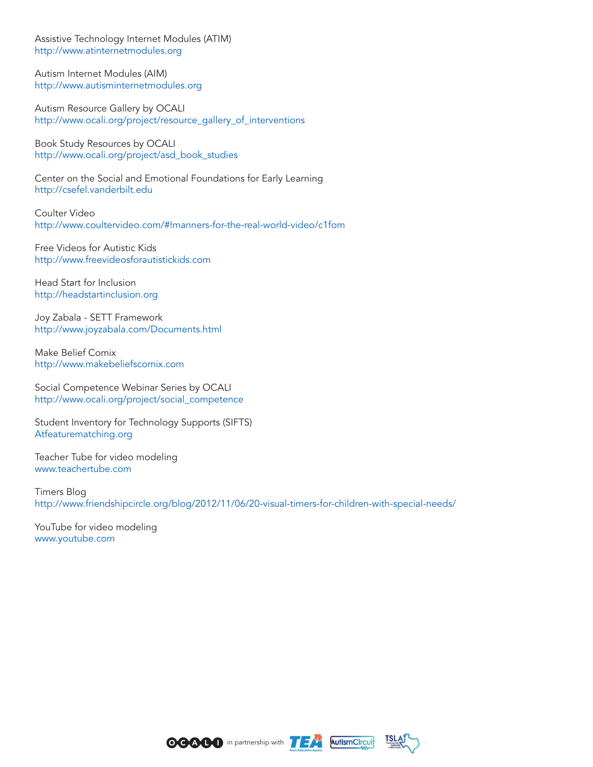Assistive Technology Internet Modules (ATIM) http://www.atinternetmodules.org

Autism Internet Modules (AIM) http://www.autisminternetmodules.org

Autism Resource Gallery by OCALI http://www.ocali.org/project/resource\_gallery\_of\_interventions

Book Study Resources by OCALI http://www.ocali.org/project/asd\_book\_studies

Center on the Social and Emotional Foundations for Early Learning http://csefel.vanderbilt.edu

Coulter Video http://www.coultervideo.com/#!manners-for-the-real-world-video/c1fom

Free Videos for Autistic Kids http://www.freevideosforautistickids.com

Head Start for Inclusion http://headstartinclusion.org

Joy Zabala - SETT Framework http://www.joyzabala.com/Documents.html

Make Belief Comix http://www.makebeliefscomix.com

Social Competence Webinar Series by OCALI http://www.ocali.org/project/social\_competence

Student Inventory for Technology Supports (SIFTS) Atfeaturematching.org

Teacher Tube for video modeling www.teachertube.com

Timers Blog http://www.friendshipcircle.org/blog/2012/11/06/20-visual-timers-for-children-with-special-needs/

YouTube for video modeling www.youtube.com





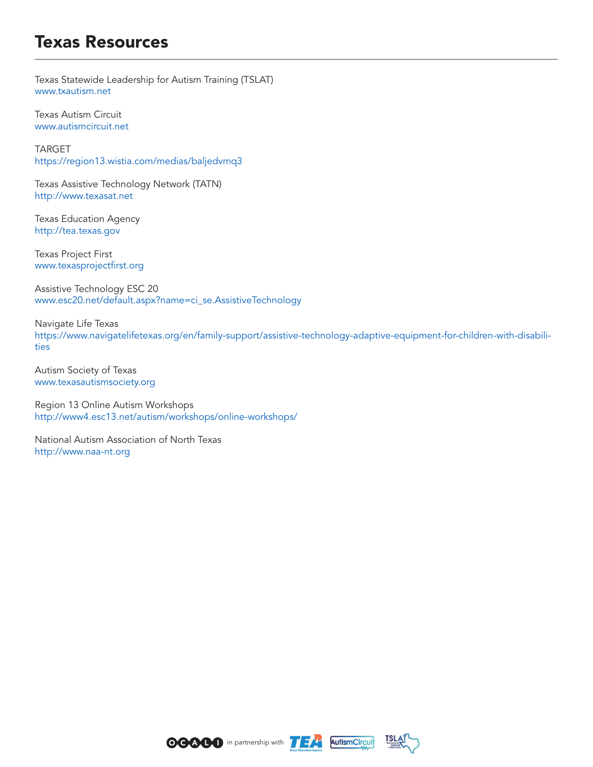# Texas Resources

Texas Statewide Leadership for Autism Training (TSLAT) www.txautism.net

Texas Autism Circuit www.autismcircuit.net

TARGET https://region13.wistia.com/medias/baljedvmq3

Texas Assistive Technology Network (TATN) http://www.texasat.net

Texas Education Agency http://tea.texas.gov

Texas Project First www.texasprojectfirst.org

Assistive Technology ESC 20 www.esc20.net/default.aspx?name=ci\_se.AssistiveTechnology

Navigate Life Texas https://www.navigatelifetexas.org/en/family-support/assistive-technology-adaptive-equipment-for-children-with-disabilities

Autism Society of Texas www.texasautismsociety.org

Region 13 Online Autism Workshops http://www4.esc13.net/autism/workshops/online-workshops/

National Autism Association of North Texas http://www.naa-nt.org





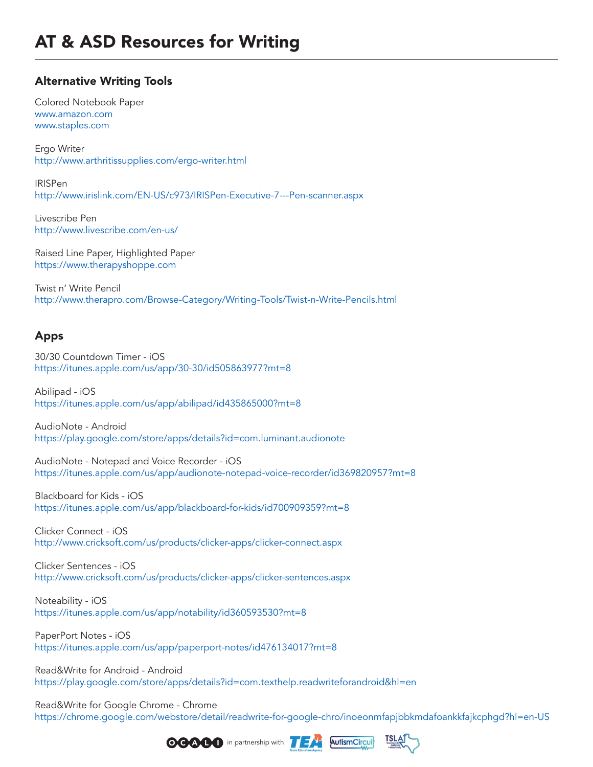## Alternative Writing Tools

Colored Notebook Paper www.amazon.com www.staples.com

Ergo Writer http://www.arthritissupplies.com/ergo-writer.html

IRISPen http://www.irislink.com/EN-US/c973/IRISPen-Executive-7---Pen-scanner.aspx

Livescribe Pen http://www.livescribe.com/en-us/

Raised Line Paper, Highlighted Paper https://www.therapyshoppe.com

Twist n' Write Pencil http://www.therapro.com/Browse-Category/Writing-Tools/Twist-n-Write-Pencils.html

## Apps

30/30 Countdown Timer - iOS https://itunes.apple.com/us/app/30-30/id505863977?mt=8

Abilipad - iOS https://itunes.apple.com/us/app/abilipad/id435865000?mt=8

AudioNote - Android https://play.google.com/store/apps/details?id=com.luminant.audionote

AudioNote - Notepad and Voice Recorder - iOS https://itunes.apple.com/us/app/audionote-notepad-voice-recorder/id369820957?mt=8

Blackboard for Kids - iOS https://itunes.apple.com/us/app/blackboard-for-kids/id700909359?mt=8

Clicker Connect - iOS http://www.cricksoft.com/us/products/clicker-apps/clicker-connect.aspx

Clicker Sentences - iOS http://www.cricksoft.com/us/products/clicker-apps/clicker-sentences.aspx

Noteability - iOS https://itunes.apple.com/us/app/notability/id360593530?mt=8

PaperPort Notes - iOS https://itunes.apple.com/us/app/paperport-notes/id476134017?mt=8

Read&Write for Android - Android https://play.google.com/store/apps/details?id=com.texthelp.readwriteforandroid&hl=en

Read&Write for Google Chrome - Chrome https://chrome.google.com/webstore/detail/readwrite-for-google-chro/inoeonmfapjbbkmdafoankkfajkcphgd?hl=en-US





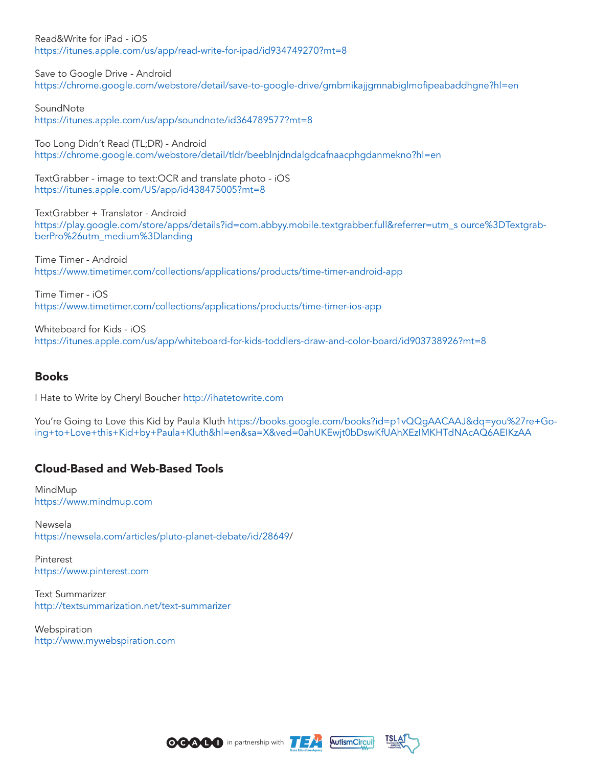Read&Write for iPad - iOS https://itunes.apple.com/us/app/read-write-for-ipad/id934749270?mt=8

Save to Google Drive - Android https://chrome.google.com/webstore/detail/save-to-google-drive/gmbmikajjgmnabiglmofipeabaddhgne?hl=en

SoundNote https://itunes.apple.com/us/app/soundnote/id364789577?mt=8

Too Long Didn't Read (TL;DR) - Android https://chrome.google.com/webstore/detail/tldr/beeblnjdndalgdcafnaacphgdanmekno?hl=en

TextGrabber - image to text:OCR and translate photo - iOS https://itunes.apple.com/US/app/id438475005?mt=8

TextGrabber + Translator - Android https://play.google.com/store/apps/details?id=com.abbyy.mobile.textgrabber.full&referrer=utm\_s ource%3DTextgrabberPro%26utm\_medium%3Dlanding

Time Timer - Android https://www.timetimer.com/collections/applications/products/time-timer-android-app

Time Timer - iOS https://www.timetimer.com/collections/applications/products/time-timer-ios-app

Whiteboard for Kids - iOS https://itunes.apple.com/us/app/whiteboard-for-kids-toddlers-draw-and-color-board/id903738926?mt=8

## Books

I Hate to Write by Cheryl Boucher http://ihatetowrite.com

You're Going to Love this Kid by Paula Kluth https://books.google.com/books?id=p1vQQgAACAAJ&dq=you%27re+Going+to+Love+this+Kid+by+Paula+Kluth&hl=en&sa=X&ved=0ahUKEwjt0bDswKfUAhXEzIMKHTdNAcAQ6AEIKzAA

## Cloud-Based and Web-Based Tools

MindMup https://www.mindmup.com

Newsela https://newsela.com/articles/pluto-planet-debate/id/28649/

Pinterest https://www.pinterest.com

Text Summarizer http://textsummarization.net/text-summarizer

**Webspiration** http://www.mywebspiration.com



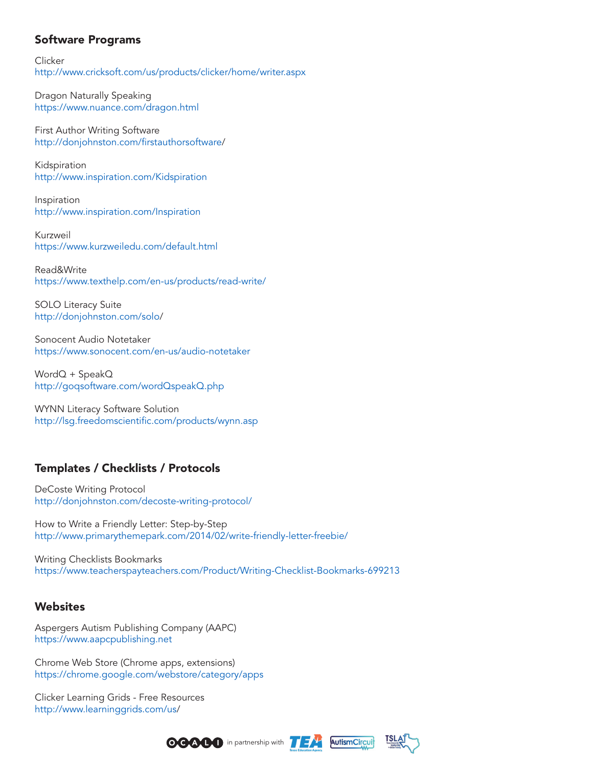## Software Programs

**Clicker** http://www.cricksoft.com/us/products/clicker/home/writer.aspx

Dragon Naturally Speaking https://www.nuance.com/dragon.html

First Author Writing Software http://donjohnston.com/firstauthorsoftware/

Kidspiration http://www.inspiration.com/Kidspiration

Inspiration http://www.inspiration.com/Inspiration

Kurzweil https://www.kurzweiledu.com/default.html

Read&Write https://www.texthelp.com/en-us/products/read-write/

SOLO Literacy Suite http://donjohnston.com/solo/

Sonocent Audio Notetaker https://www.sonocent.com/en-us/audio-notetaker

WordQ + SpeakQ http://goqsoftware.com/wordQspeakQ.php

WYNN Literacy Software Solution http://lsg.freedomscientific.com/products/wynn.asp

## Templates / Checklists / Protocols

DeCoste Writing Protocol http://donjohnston.com/decoste-writing-protocol/

How to Write a Friendly Letter: Step-by-Step http://www.primarythemepark.com/2014/02/write-friendly-letter-freebie/

Writing Checklists Bookmarks https://www.teacherspayteachers.com/Product/Writing-Checklist-Bookmarks-699213

## **Websites**

Aspergers Autism Publishing Company (AAPC) https://www.aapcpublishing.net

Chrome Web Store (Chrome apps, extensions) https://chrome.google.com/webstore/category/apps

Clicker Learning Grids - Free Resources http://www.learninggrids.com/us/